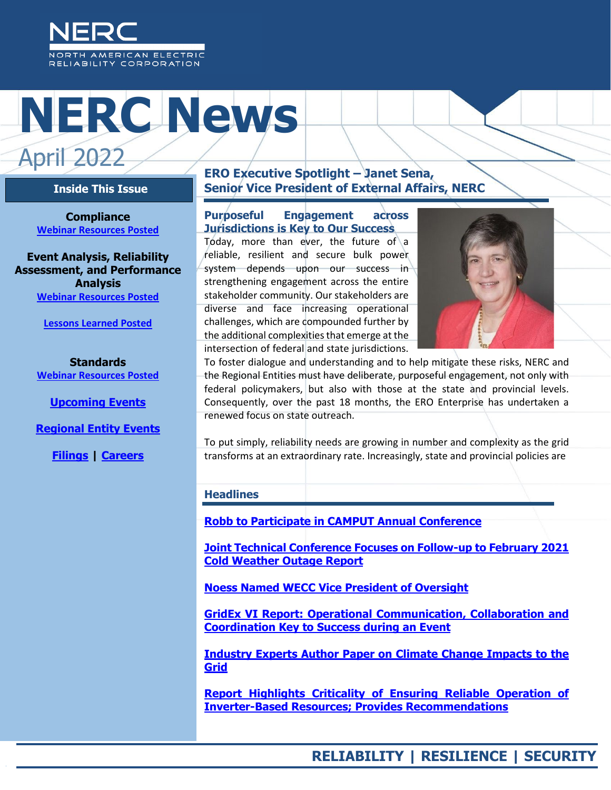### MERICAN ELECTRIC RELIABILITY CORPORATION

# **t. NERC News** April 2022

#### **Inside This Issue**

**Compliance [Webinar Resources Posted](#page-3-1)**

**Event Analysis, Reliability Assessment, and Performance Analysis [Webinar Resources Posted](#page-3-2)**

**[Lessons Learned Posted](#page-3-3)**

**Standards [Webinar Resources Posted](#page-4-0)**

**[Upcoming Events](#page-4-1)**

**[Regional Entity Events](#page-5-0)**

**[Filings](#page-5-1) | [Careers](#page-5-2)**

#### **ERO Executive Spotlight – Janet Sena, Senior Vice President of External Affairs, NERC**

**Purposeful Engagement across Jurisdictions is Key to Our Success** Today, more than ever, the future of a reliable, resilient and secure bulk power system depends upon our success in strengthening engagement across the entire stakeholder community. Our stakeholders are diverse and face increasing operational challenges, which are compounded further by the additional complexities that emerge at the intersection of federal and state jurisdictions.



To foster dialogue and understanding and to help mitigate these risks, NERC and the Regional Entities must have deliberate, purposeful engagement, not only with federal policymakers, but also with those at the state and provincial levels. Consequently, over the past 18 months, the ERO Enterprise has undertaken a renewed focus on state outreach.

To put simply, reliability needs are growing in number and complexity as the grid transforms at an extraordinary rate. Increasingly, state and provincial policies are

#### **Headlines**

**[Robb to Participate in CAMPUT Annual Conference](#page-2-0)**

**[Joint Technical Conference Focuses on Follow-up to February 2021](#page-2-0)  [Cold Weather Outage Report](#page-2-0)**

**[Noess Named WECC Vice President of Oversight](#page-2-1)** 

**[GridEx VI Report: Operational Communication, Collaboration and](#page-2-2)  [Coordination Key to Success during an Event](#page-2-2)**

**[Industry Experts Author Paper on Climate Change Impacts to the](#page-2-3)  [Grid](#page-2-3)**

**[Report Highlights Criticality of Ensuring Reliable Operation of](#page-3-0)  [Inverter-Based Resources; Provides Recommendations](#page-3-0)**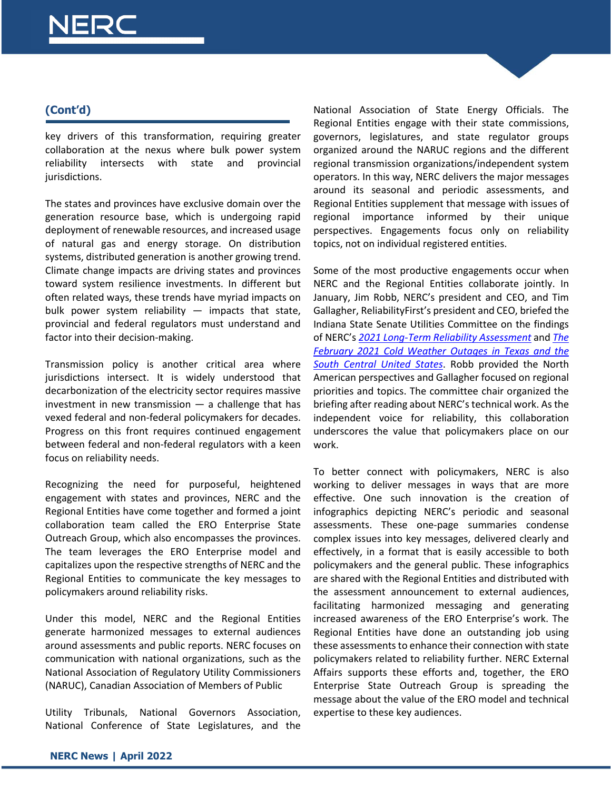## NERC

### **(Cont'd)**

key drivers of this transformation, requiring greater collaboration at the nexus where bulk power system reliability intersects with state and provincial jurisdictions.

The states and provinces have exclusive domain over the generation resource base, which is undergoing rapid deployment of renewable resources, and increased usage of natural gas and energy storage. On distribution systems, distributed generation is another growing trend. Climate change impacts are driving states and provinces toward system resilience investments. In different but often related ways, these trends have myriad impacts on bulk power system reliability  $-$  impacts that state, provincial and federal regulators must understand and factor into their decision-making.

Transmission policy is another critical area where jurisdictions intersect. It is widely understood that decarbonization of the electricity sector requires massive investment in new transmission  $-$  a challenge that has vexed federal and non-federal policymakers for decades. Progress on this front requires continued engagement between federal and non-federal regulators with a keen focus on reliability needs.

Recognizing the need for purposeful, heightened engagement with states and provinces, NERC and the Regional Entities have come together and formed a joint collaboration team called the ERO Enterprise State Outreach Group, which also encompasses the provinces. The team leverages the ERO Enterprise model and capitalizes upon the respective strengths of NERC and the Regional Entities to communicate the key messages to policymakers around reliability risks.

Under this model, NERC and the Regional Entities generate harmonized messages to external audiences around assessments and public reports. NERC focuses on communication with national organizations, such as the National Association of Regulatory Utility Commissioners (NARUC), Canadian Association of Members of Public

Utility Tribunals, National Governors Association, National Conference of State Legislatures, and the National Association of State Energy Officials. The Regional Entities engage with their state commissions, governors, legislatures, and state regulator groups organized around the NARUC regions and the different regional transmission organizations/independent system operators. In this way, NERC delivers the major messages around its seasonal and periodic assessments, and Regional Entities supplement that message with issues of regional importance informed by their unique perspectives. Engagements focus only on reliability topics, not on individual registered entities.

Some of the most productive engagements occur when NERC and the Regional Entities collaborate jointly. In January, Jim Robb, NERC's president and CEO, and Tim Gallagher, ReliabilityFirst's president and CEO, briefed the Indiana State Senate Utilities Committee on the findings of NERC's *[2021 Long-Term Reliability Assessment](https://www.nerc.com/pa/RAPA/ra/Reliability%20Assessments%20DL/NERC_LTRA_2021.pdf)* and *[The](https://www.ferc.gov/media/february-2021-cold-weather-outages-texas-and-south-central-united-states-ferc-nerc-and)  [February 2021 Cold Weather Outages in Texas and the](https://www.ferc.gov/media/february-2021-cold-weather-outages-texas-and-south-central-united-states-ferc-nerc-and)  [South Central United States](https://www.ferc.gov/media/february-2021-cold-weather-outages-texas-and-south-central-united-states-ferc-nerc-and)*. Robb provided the North American perspectives and Gallagher focused on regional priorities and topics. The committee chair organized the briefing after reading about NERC's technical work. As the independent voice for reliability, this collaboration underscores the value that policymakers place on our work.

To better connect with policymakers, NERC is also working to deliver messages in ways that are more effective. One such innovation is the creation of infographics depicting NERC's periodic and seasonal assessments. These one-page summaries condense complex issues into key messages, delivered clearly and effectively, in a format that is easily accessible to both policymakers and the general public. These infographics are shared with the Regional Entities and distributed with the assessment announcement to external audiences, facilitating harmonized messaging and generating increased awareness of the ERO Enterprise's work. The Regional Entities have done an outstanding job using these assessments to enhance their connection with state policymakers related to reliability further. NERC External Affairs supports these efforts and, together, the ERO Enterprise State Outreach Group is spreading the message about the value of the ERO model and technical expertise to these key audiences.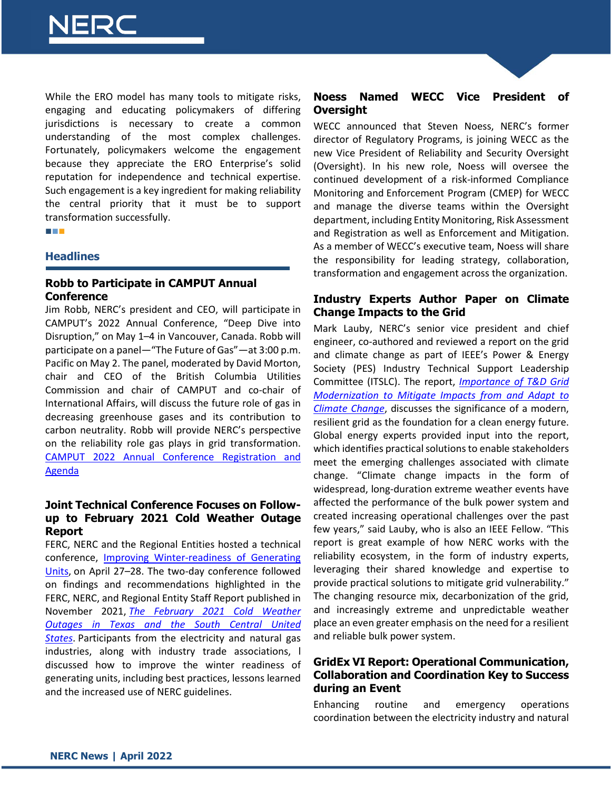While the ERO model has many tools to mitigate risks, engaging and educating policymakers of differing jurisdictions is necessary to create a common understanding of the most complex challenges. Fortunately, policymakers welcome the engagement because they appreciate the ERO Enterprise's solid reputation for independence and technical expertise. Such engagement is a key ingredient for making reliability the central priority that it must be to support transformation successfully.

■■■

#### **Headlines**

#### <span id="page-2-0"></span>**Robb to Participate in CAMPUT Annual Conference**

Jim Robb, NERC's president and CEO, will participate in CAMPUT's 2022 Annual Conference, "Deep Dive into Disruption," on May 1–4 in Vancouver, Canada. Robb will participate on a panel—"The Future of Gas"—at 3:00 p.m. Pacific on May 2. The panel, moderated by David Morton, chair and CEO of the British Columbia Utilities Commission and chair of CAMPUT and co-chair of International Affairs, will discuss the future role of gas in decreasing greenhouse gases and its contribution to carbon neutrality. Robb will provide NERC's perspective on the reliability role gas plays in grid transformation. [CAMPUT 2022 Annual Conference Registration and](https://na.eventscloud.com/website/34526/home/)  [Agenda](https://na.eventscloud.com/website/34526/home/) 

#### **Joint Technical Conference Focuses on Followup to February 2021 Cold Weather Outage Report**

FERC, NERC and the Regional Entities hosted a technical conference, [Improving Winter-readiness of Generating](https://www.ferc.gov/news-events/events/ferc-nerc-and-regional-entities-technical-conference-improving-winter-readiness)  [Units,](https://www.ferc.gov/news-events/events/ferc-nerc-and-regional-entities-technical-conference-improving-winter-readiness) on April 27–28. The two-day conference followed on findings and recommendations highlighted in the FERC, NERC, and Regional Entity Staff Report published in November 2021, *[The February 2021 Cold Weather](https://www.ferc.gov/media/february-2021-cold-weather-outages-texas-and-south-central-united-states-ferc-nerc-and)  [Outages in Texas and the South Central United](https://www.ferc.gov/media/february-2021-cold-weather-outages-texas-and-south-central-united-states-ferc-nerc-and)  [States](https://www.ferc.gov/media/february-2021-cold-weather-outages-texas-and-south-central-united-states-ferc-nerc-and)*. Participants from the electricity and natural gas industries, along with industry trade associations, l discussed how to improve the winter readiness of generating units, including best practices, lessons learned and the increased use of NERC guidelines.



#### <span id="page-2-1"></span>**Noess Named WECC Vice President of Oversight**

WECC announced that Steven Noess, NERC's former director of Regulatory Programs, is joining WECC as the new Vice President of Reliability and Security Oversight (Oversight). In his new role, Noess will oversee the continued development of a risk-informed Compliance Monitoring and Enforcement Program (CMEP) for WECC and manage the diverse teams within the Oversight department, including Entity Monitoring, Risk Assessment and Registration as well as Enforcement and Mitigation. As a member of WECC's executive team, Noess will share the responsibility for leading strategy, collaboration, transformation and engagement across the organization.

#### <span id="page-2-3"></span>**Industry Experts Author Paper on Climate Change Impacts to the Grid**

Mark Lauby, NERC's senior vice president and chief engineer, co-authored and reviewed a report on the grid and climate change as part of IEEE's Power & Energy Society (PES) Industry Technical Support Leadership Committee (ITSLC). The report, *[Importance of T&D Grid](https://resourcecenter.ieee-pes.org/publications/technical-reports/PES_TP_TR93_ITSLC_022822.html)  [Modernization to Mitigate Impacts from and Adapt to](https://resourcecenter.ieee-pes.org/publications/technical-reports/PES_TP_TR93_ITSLC_022822.html)  [Climate Change](https://resourcecenter.ieee-pes.org/publications/technical-reports/PES_TP_TR93_ITSLC_022822.html)*, discusses the significance of a modern, resilient grid as the foundation for a clean energy future. Global energy experts provided input into the report, which identifies practical solutions to enable stakeholders meet the emerging challenges associated with climate change. "Climate change impacts in the form of widespread, long-duration extreme weather events have affected the performance of the bulk power system and created increasing operational challenges over the past few years," said Lauby, who is also an IEEE Fellow. "This report is great example of how NERC works with the reliability ecosystem, in the form of industry experts, leveraging their shared knowledge and expertise to provide practical solutions to mitigate grid vulnerability." The changing resource mix, decarbonization of the grid, and increasingly extreme and unpredictable weather place an even greater emphasis on the need for a resilient and reliable bulk power system.

#### <span id="page-2-2"></span>**GridEx VI Report: Operational Communication, Collaboration and Coordination Key to Success during an Event**

Enhancing routine and emergency operations coordination between the electricity industry and natural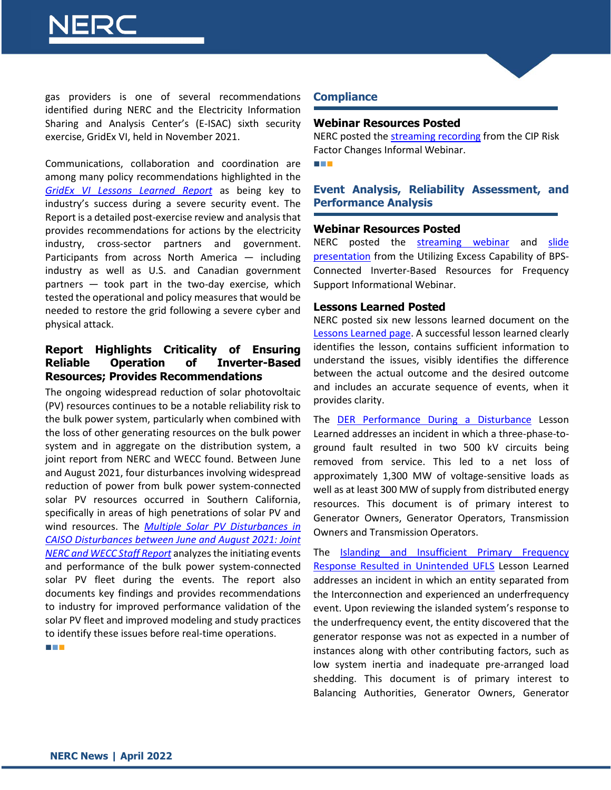

gas providers is one of several recommendations identified during NERC and the Electricity Information Sharing and Analysis Center's (E-ISAC) sixth security exercise, GridEx VI, held in November 2021.

Communications, collaboration and coordination are among many policy recommendations highlighted in the *[GridEx VI Lessons Learned Report](https://www.nerc.com/pa/CI/ESISAC/GridEx/GridEx%20VI%20Public%20Report.pdf)* as being key to industry's success during a severe security event. The Report is a detailed post-exercise review and analysis that provides recommendations for actions by the electricity industry, cross-sector partners and government. Participants from across North America — including industry as well as U.S. and Canadian government partners — took part in the two-day exercise, which tested the operational and policy measures that would be needed to restore the grid following a severe cyber and physical attack.

#### <span id="page-3-0"></span>**Report Highlights Criticality of Ensuring Reliable Operation of Inverter-Based Resources; Provides Recommendations**

The ongoing widespread reduction of solar photovoltaic (PV) resources continues to be a notable reliability risk to the bulk power system, particularly when combined with the loss of other generating resources on the bulk power system and in aggregate on the distribution system, a joint report from NERC and WECC found. Between June and August 2021, four disturbances involving widespread reduction of power from bulk power system-connected solar PV resources occurred in Southern California, specifically in areas of high penetrations of solar PV and wind resources. The *[Multiple Solar PV Disturbances in](https://www.nerc.com/pa/rrm/ea/Documents/NERC_2021_California_Solar_PV_Disturbances_Report.pdf)  [CAISO Disturbances between June and August 2021: Joint](https://www.nerc.com/pa/rrm/ea/Documents/NERC_2021_California_Solar_PV_Disturbances_Report.pdf)  [NERC and WECC Staff Report](https://www.nerc.com/pa/rrm/ea/Documents/NERC_2021_California_Solar_PV_Disturbances_Report.pdf)* analyzes the initiating events and performance of the bulk power system-connected solar PV fleet during the events. The report also documents key findings and provides recommendations to industry for improved performance validation of the solar PV fleet and improved modeling and study practices to identify these issues before real-time operations.

**■■■**

#### **Compliance**

#### <span id="page-3-1"></span>**Webinar Resources Posted**

NERC posted th[e streaming recording](https://nam04.safelinks.protection.outlook.com/?url=https%3A%2F%2Fnerc.webex.com%2Fnerc%2Flsr.php%3FRCID%3D1faca0dbb4d8af0df58b378caf56e9e3&data=05%7C01%7CAmy.Klagholz%40nerc.net%7Ce994774dd9b040b2621108da238f4eae%7Ca2d34bfabd5b4dc39a2e098f99296771%7C0%7C0%7C637861395663610749%7CUnknown%7CTWFpbGZsb3d8eyJWIjoiMC4wLjAwMDAiLCJQIjoiV2luMzIiLCJBTiI6Ik1haWwiLCJXVCI6Mn0%3D%7C3000%7C%7C%7C&sdata=d7PKxpPlWBubbVqL3yyF4FJ4R0BJBoJeiMWutpufBbE%3D&reserved=0) from the CIP Risk Factor Changes Informal Webinar. ■■■

#### **Event Analysis, Reliability Assessment, and Performance Analysis**

#### <span id="page-3-2"></span>**Webinar Resources Posted**

NERC posted the [streaming webinar](https://nam04.safelinks.protection.outlook.com/?url=https%3A%2F%2Fnerc.webex.com%2Frecordingservice%2Fsites%2Fnerc%2Frecording%2F6cd07f37a230103aaf5f00505681f098%2Fplayback&data=05%7C01%7CAmy.Klagholz%40nerc.net%7Cbe891ed5f87a472344a808da2314478e%7Ca2d34bfabd5b4dc39a2e098f99296771%7C0%7C0%7C637860867250346705%7CUnknown%7CTWFpbGZsb3d8eyJWIjoiMC4wLjAwMDAiLCJQIjoiV2luMzIiLCJBTiI6Ik1haWwiLCJXVCI6Mn0%3D%7C3000%7C%7C%7C&sdata=oKxiUnJz8SqP9w4xNni38%2BribnF5HvPp8O2ZRLL1OZ4%3D&reserved=0) and slide [presentation](https://nam04.safelinks.protection.outlook.com/?url=https%3A%2F%2Fwww.nerc.com%2Fcomm%2FRSTC%2FIRPS%2FWebinar_Utilizing_Excess_IBR_Capability_FR.pdf&data=05%7C01%7CAmy.Klagholz%40nerc.net%7Cbe891ed5f87a472344a808da2314478e%7Ca2d34bfabd5b4dc39a2e098f99296771%7C0%7C0%7C637860867250346705%7CUnknown%7CTWFpbGZsb3d8eyJWIjoiMC4wLjAwMDAiLCJQIjoiV2luMzIiLCJBTiI6Ik1haWwiLCJXVCI6Mn0%3D%7C3000%7C%7C%7C&sdata=GxnLAyT3OM20ufRlXERBh%2B4ag1OGJYvnRVyXpBdd5cM%3D&reserved=0) from the Utilizing Excess Capability of BPS-Connected Inverter-Based Resources for Frequency Support Informational Webinar.

#### <span id="page-3-3"></span>**Lessons Learned Posted**

NERC posted six new lessons learned document on the [Lessons Learned page.](https://nam04.safelinks.protection.outlook.com/?url=http%3A%2F%2Fwww.nerc.com%2Fpa%2Frrm%2Fea%2FPages%2FLessons-Learned.aspx&data=04%7C01%7CAmy.Klagholz%40nerc.net%7C71b977eb1762481ca87308da02066060%7Ca2d34bfabd5b4dc39a2e098f99296771%7C0%7C0%7C637824523681088594%7CUnknown%7CTWFpbGZsb3d8eyJWIjoiMC4wLjAwMDAiLCJQIjoiV2luMzIiLCJBTiI6Ik1haWwiLCJXVCI6Mn0%3D%7C3000&sdata=johPhGipb%2BniwD4RAKvYnv%2BvBBDovjEYfU5ngNYTSUs%3D&reserved=0) A successful lesson learned clearly identifies the lesson, contains sufficient information to understand the issues, visibly identifies the difference between the actual outcome and the desired outcome and includes an accurate sequence of events, when it provides clarity.

The [DER Performance During a Disturbance](https://nam04.safelinks.protection.outlook.com/?url=https%3A%2F%2Fwww.nerc.com%2Fpa%2Frrm%2Fea%2FLessons%2520Learned%2520Document%2520Library%2FLL20220401_DER_Performance_During_a_Disturbance.pdf&data=04%7C01%7CAmy.Klagholz%40nerc.net%7Cf9bcbb2f6cc949fcb20b08da1d832005%7Ca2d34bfabd5b4dc39a2e098f99296771%7C0%7C0%7C637854746260195525%7CUnknown%7CTWFpbGZsb3d8eyJWIjoiMC4wLjAwMDAiLCJQIjoiV2luMzIiLCJBTiI6Ik1haWwiLCJXVCI6Mn0%3D%7C3000&sdata=Ia3A%2BnshmhyQl2%2BXqktk0vFtogaPvJ4dVNGivtZ%2BT5c%3D&reserved=0) Lesson Learned addresses an incident in which a three-phase-toground fault resulted in two 500 kV circuits being removed from service. This led to a net loss of approximately 1,300 MW of voltage-sensitive loads as well as at least 300 MW of supply from distributed energy resources. This document is of primary interest to Generator Owners, Generator Operators, Transmission Owners and Transmission Operators.

The [Islanding and Insufficient Primary Frequency](https://nam04.safelinks.protection.outlook.com/?url=https%3A%2F%2Fwww.nerc.com%2Fpa%2Frrm%2Fea%2FLessons%2520Learned%2520Document%2520Library%2FLL20220402_Islanding_and_Insufficient_Primary_Frequency_Response_Resulted_in_unintended_UFLS.pdf&data=04%7C01%7CAmy.Klagholz%40nerc.net%7Cf9bcbb2f6cc949fcb20b08da1d832005%7Ca2d34bfabd5b4dc39a2e098f99296771%7C0%7C0%7C637854746260195525%7CUnknown%7CTWFpbGZsb3d8eyJWIjoiMC4wLjAwMDAiLCJQIjoiV2luMzIiLCJBTiI6Ik1haWwiLCJXVCI6Mn0%3D%7C3000&sdata=MduXXZmCxO9fuAS2YPF4Jd6sJqNv7I1e%2BhWwRVbo9NY%3D&reserved=0)  [Response Resulted in Unintended UFLS](https://nam04.safelinks.protection.outlook.com/?url=https%3A%2F%2Fwww.nerc.com%2Fpa%2Frrm%2Fea%2FLessons%2520Learned%2520Document%2520Library%2FLL20220402_Islanding_and_Insufficient_Primary_Frequency_Response_Resulted_in_unintended_UFLS.pdf&data=04%7C01%7CAmy.Klagholz%40nerc.net%7Cf9bcbb2f6cc949fcb20b08da1d832005%7Ca2d34bfabd5b4dc39a2e098f99296771%7C0%7C0%7C637854746260195525%7CUnknown%7CTWFpbGZsb3d8eyJWIjoiMC4wLjAwMDAiLCJQIjoiV2luMzIiLCJBTiI6Ik1haWwiLCJXVCI6Mn0%3D%7C3000&sdata=MduXXZmCxO9fuAS2YPF4Jd6sJqNv7I1e%2BhWwRVbo9NY%3D&reserved=0) Lesson Learned addresses an incident in which an entity separated from the Interconnection and experienced an underfrequency event. Upon reviewing the islanded system's response to the underfrequency event, the entity discovered that the generator response was not as expected in a number of instances along with other contributing factors, such as low system inertia and inadequate pre-arranged load shedding. This document is of primary interest to Balancing Authorities, Generator Owners, Generator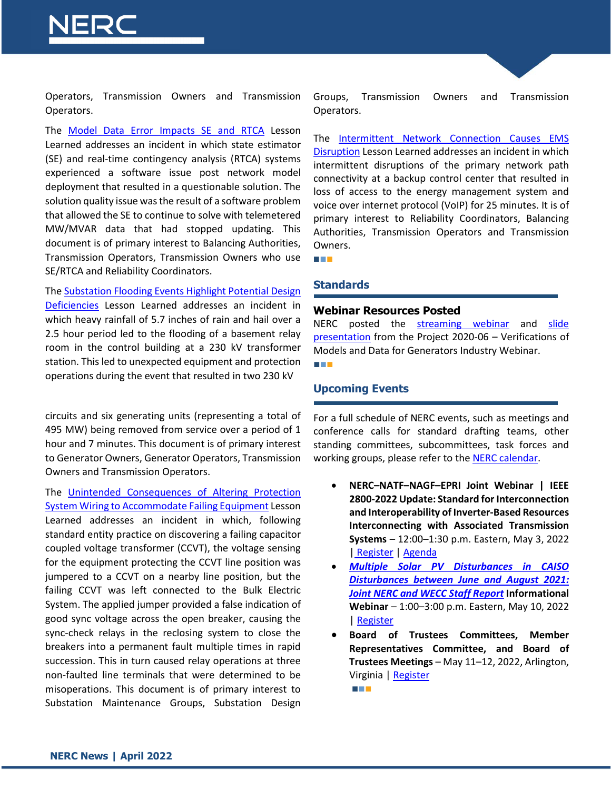

Operators, Transmission Owners and Transmission Operators.

The [Model Data Error Impacts SE and RTCA](https://nam04.safelinks.protection.outlook.com/?url=https%3A%2F%2Fwww.nerc.com%2Fpa%2Frrm%2Fea%2FLessons%2520Learned%2520Document%2520Library%2FLL20220403_Model_Data_Error_Impacts_SE_and_RTCA.pdf&data=04%7C01%7CAmy.Klagholz%40nerc.net%7Cf9bcbb2f6cc949fcb20b08da1d832005%7Ca2d34bfabd5b4dc39a2e098f99296771%7C0%7C0%7C637854746260195525%7CUnknown%7CTWFpbGZsb3d8eyJWIjoiMC4wLjAwMDAiLCJQIjoiV2luMzIiLCJBTiI6Ik1haWwiLCJXVCI6Mn0%3D%7C3000&sdata=m14Y6IiPGDJoAP861BPyMTnURitzFgt4Pvgj0cXQyvA%3D&reserved=0) Lesson Learned addresses an incident in which state estimator (SE) and real-time contingency analysis (RTCA) systems experienced a software issue post network model deployment that resulted in a questionable solution. The solution quality issue was the result of a software problem that allowed the SE to continue to solve with telemetered MW/MVAR data that had stopped updating. This document is of primary interest to Balancing Authorities, Transmission Operators, Transmission Owners who use SE/RTCA and Reliability Coordinators.

Th[e Substation Flooding Events Highlight Potential Design](https://nam04.safelinks.protection.outlook.com/?url=https%3A%2F%2Fwww.nerc.com%2Fpa%2Frrm%2Fea%2FLessons%2520Learned%2520Document%2520Library%2FLL20220404_Substation_Flooding_Events_Highlight_Potential_Design_Deficiencies.pdf&data=04%7C01%7CAmy.Klagholz%40nerc.net%7Cf9bcbb2f6cc949fcb20b08da1d832005%7Ca2d34bfabd5b4dc39a2e098f99296771%7C0%7C0%7C637854746260195525%7CUnknown%7CTWFpbGZsb3d8eyJWIjoiMC4wLjAwMDAiLCJQIjoiV2luMzIiLCJBTiI6Ik1haWwiLCJXVCI6Mn0%3D%7C3000&sdata=WK74Th63yjXgsz4nbCt8%2BCpeqmn7kRYCXyRINEK0qwY%3D&reserved=0)  [Deficiencies](https://nam04.safelinks.protection.outlook.com/?url=https%3A%2F%2Fwww.nerc.com%2Fpa%2Frrm%2Fea%2FLessons%2520Learned%2520Document%2520Library%2FLL20220404_Substation_Flooding_Events_Highlight_Potential_Design_Deficiencies.pdf&data=04%7C01%7CAmy.Klagholz%40nerc.net%7Cf9bcbb2f6cc949fcb20b08da1d832005%7Ca2d34bfabd5b4dc39a2e098f99296771%7C0%7C0%7C637854746260195525%7CUnknown%7CTWFpbGZsb3d8eyJWIjoiMC4wLjAwMDAiLCJQIjoiV2luMzIiLCJBTiI6Ik1haWwiLCJXVCI6Mn0%3D%7C3000&sdata=WK74Th63yjXgsz4nbCt8%2BCpeqmn7kRYCXyRINEK0qwY%3D&reserved=0) Lesson Learned addresses an incident in which heavy rainfall of 5.7 inches of rain and hail over a 2.5 hour period led to the flooding of a basement relay room in the control building at a 230 kV transformer station. This led to unexpected equipment and protection operations during the event that resulted in two 230 kV

circuits and six generating units (representing a total of 495 MW) being removed from service over a period of 1 hour and 7 minutes. This document is of primary interest to Generator Owners, Generator Operators, Transmission Owners and Transmission Operators.

The [Unintended Consequences of Altering Protection](https://nam04.safelinks.protection.outlook.com/?url=https%3A%2F%2Fwww.nerc.com%2Fpa%2Frrm%2Fea%2FLessons%2520Learned%2520Document%2520Library%2FLL20220405_Consequences_of_Altering_Protection_System_Wiring_for_Failing_CCVT.pdf&data=04%7C01%7CAmy.Klagholz%40nerc.net%7Cf9bcbb2f6cc949fcb20b08da1d832005%7Ca2d34bfabd5b4dc39a2e098f99296771%7C0%7C0%7C637854746260195525%7CUnknown%7CTWFpbGZsb3d8eyJWIjoiMC4wLjAwMDAiLCJQIjoiV2luMzIiLCJBTiI6Ik1haWwiLCJXVCI6Mn0%3D%7C3000&sdata=LoYZZcdDeU39xrFSyRN9H6wSyeATFE8fdukLTdIcyEI%3D&reserved=0)  [System Wiring to Accommodate Failing Equipment](https://nam04.safelinks.protection.outlook.com/?url=https%3A%2F%2Fwww.nerc.com%2Fpa%2Frrm%2Fea%2FLessons%2520Learned%2520Document%2520Library%2FLL20220405_Consequences_of_Altering_Protection_System_Wiring_for_Failing_CCVT.pdf&data=04%7C01%7CAmy.Klagholz%40nerc.net%7Cf9bcbb2f6cc949fcb20b08da1d832005%7Ca2d34bfabd5b4dc39a2e098f99296771%7C0%7C0%7C637854746260195525%7CUnknown%7CTWFpbGZsb3d8eyJWIjoiMC4wLjAwMDAiLCJQIjoiV2luMzIiLCJBTiI6Ik1haWwiLCJXVCI6Mn0%3D%7C3000&sdata=LoYZZcdDeU39xrFSyRN9H6wSyeATFE8fdukLTdIcyEI%3D&reserved=0) Lesson Learned addresses an incident in which, following standard entity practice on discovering a failing capacitor coupled voltage transformer (CCVT), the voltage sensing for the equipment protecting the CCVT line position was jumpered to a CCVT on a nearby line position, but the failing CCVT was left connected to the Bulk Electric System. The applied jumper provided a false indication of good sync voltage across the open breaker, causing the sync-check relays in the reclosing system to close the breakers into a permanent fault multiple times in rapid succession. This in turn caused relay operations at three non-faulted line terminals that were determined to be misoperations. This document is of primary interest to Substation Maintenance Groups, Substation Design Groups, Transmission Owners and Transmission Operators.

The [Intermittent Network Connection Causes EMS](https://nam04.safelinks.protection.outlook.com/?url=https%3A%2F%2Fwww.nerc.com%2Fpa%2Frrm%2Fea%2FLessons%2520Learned%2520Document%2520Library%2FLL20220406_Intermittent_Network_Connection_Causes_EMS_Disruption.pdf&data=04%7C01%7CAmy.Klagholz%40nerc.net%7Cf9bcbb2f6cc949fcb20b08da1d832005%7Ca2d34bfabd5b4dc39a2e098f99296771%7C0%7C0%7C637854746260195525%7CUnknown%7CTWFpbGZsb3d8eyJWIjoiMC4wLjAwMDAiLCJQIjoiV2luMzIiLCJBTiI6Ik1haWwiLCJXVCI6Mn0%3D%7C3000&sdata=aaTpZ%2FiavDBqD5LVu4BMY5TvmEa2giifobLLn66nRbk%3D&reserved=0)  [Disruption](https://nam04.safelinks.protection.outlook.com/?url=https%3A%2F%2Fwww.nerc.com%2Fpa%2Frrm%2Fea%2FLessons%2520Learned%2520Document%2520Library%2FLL20220406_Intermittent_Network_Connection_Causes_EMS_Disruption.pdf&data=04%7C01%7CAmy.Klagholz%40nerc.net%7Cf9bcbb2f6cc949fcb20b08da1d832005%7Ca2d34bfabd5b4dc39a2e098f99296771%7C0%7C0%7C637854746260195525%7CUnknown%7CTWFpbGZsb3d8eyJWIjoiMC4wLjAwMDAiLCJQIjoiV2luMzIiLCJBTiI6Ik1haWwiLCJXVCI6Mn0%3D%7C3000&sdata=aaTpZ%2FiavDBqD5LVu4BMY5TvmEa2giifobLLn66nRbk%3D&reserved=0) Lesson Learned addresses an incident in which intermittent disruptions of the primary network path connectivity at a backup control center that resulted in loss of access to the energy management system and voice over internet protocol (VoIP) for 25 minutes. It is of primary interest to Reliability Coordinators, Balancing Authorities, Transmission Operators and Transmission Owners.

■■■

#### **Standards**

#### <span id="page-4-0"></span>**Webinar Resources Posted**

NERC posted the [streaming webinar](https://nam04.safelinks.protection.outlook.com/?url=https%3A%2F%2Fnerc.webex.com%2Fwebappng%2Fsites%2Fnerc%2Frecording%2F82e78499a2ec103abf0f00505681f098%2Fplayback&data=05%7C01%7CAmy.Klagholz%40nerc.net%7Cfafb93a9e4af4c9ef0ac08da26cf9aa9%7Ca2d34bfabd5b4dc39a2e098f99296771%7C0%7C0%7C637864970354026462%7CUnknown%7CTWFpbGZsb3d8eyJWIjoiMC4wLjAwMDAiLCJQIjoiV2luMzIiLCJBTiI6Ik1haWwiLCJXVCI6Mn0%3D%7C3000%7C%7C%7C&sdata=I111unGoxX4CadZsyO3S43G89kJR6JMOrSNSJjnyTFk%3D&reserved=0) and slide [presentation](https://nam04.safelinks.protection.outlook.com/?url=https%3A%2F%2Fwww.nerc.com%2Fpa%2FStand%2FProject_2020_06_Verifications_of_Models_and_Data_f%2F2020-06_Industry_Webinar_Slides_04202022.pdf&data=05%7C01%7CAmy.Klagholz%40nerc.net%7Cfafb93a9e4af4c9ef0ac08da26cf9aa9%7Ca2d34bfabd5b4dc39a2e098f99296771%7C0%7C0%7C637864970354026462%7CUnknown%7CTWFpbGZsb3d8eyJWIjoiMC4wLjAwMDAiLCJQIjoiV2luMzIiLCJBTiI6Ik1haWwiLCJXVCI6Mn0%3D%7C3000%7C%7C%7C&sdata=cD2pmmKez23zkeJle4BZ%2BYh9Ez%2FtmAuRJFO9CknXqrk%3D&reserved=0) from the Project 2020-06 – Verifications of Models and Data for Generators Industry Webinar. ■■■

#### <span id="page-4-1"></span>**Upcoming Events**

For a full schedule of NERC events, such as meetings and conference calls for standard drafting teams, other standing committees, subcommittees, task forces and working groups, please refer to th[e NERC calendar.](http://www.nerc.com/Pages/Calendar.aspx)

- **NERC–NATF–NAGF–EPRI Joint Webinar | IEEE 2800-2022 Update: Standard for Interconnection and Interoperability of Inverter-Based Resources Interconnecting with Associated Transmission Systems** – 12:00–1:30 p.m. Eastern, May 3, 2022 | [Register](https://nam04.safelinks.protection.outlook.com/?url=https%3A%2F%2Furldefense.com%2Fv3%2F__https%3A%2Fepri.webex.com%2Fepri%2Fj.php%3FMTID%3De2023bce49bf99196092972d25c6f2f8b__%3B!!MLsdJ25-fIk!4Oil0S7VpiO5_j2VqIut8TRp1_rZ2UArtTXj5D7eiLdcOY3KNg9pTOI59uJZMfHA%24&data=04%7C01%7CAmy.Klagholz%40nerc.net%7Cfc3bde8cc30a4580869408da17dd620e%7Ca2d34bfabd5b4dc39a2e098f99296771%7C0%7C0%7C637848536848602418%7CUnknown%7CTWFpbGZsb3d8eyJWIjoiMC4wLjAwMDAiLCJQIjoiV2luMzIiLCJBTiI6Ik1haWwiLCJXVCI6Mn0%3D%7C3000&sdata=y5CfLg%2FbsnZaJZ2OLiokprEYaZ4aSrVjo81KPUYs4sM%3D&reserved=0) | [Agenda](https://nam04.safelinks.protection.outlook.com/?url=https%3A%2F%2Fwww.nerc.com%2Fcomm%2FRSTC%2FDocuments%2F2022-05_IEEE%25202800-2022_Update.pdf&data=04%7C01%7CAmy.Klagholz%40nerc.net%7Cfc3bde8cc30a4580869408da17dd620e%7Ca2d34bfabd5b4dc39a2e098f99296771%7C0%7C0%7C637848536848602418%7CUnknown%7CTWFpbGZsb3d8eyJWIjoiMC4wLjAwMDAiLCJQIjoiV2luMzIiLCJBTiI6Ik1haWwiLCJXVCI6Mn0%3D%7C3000&sdata=C%2BijRz91zMG0h0EqoFbBtPVDE8s6n030nKtQ0TAwX7c%3D&reserved=0)
- *[Multiple Solar PV Disturbances in CAISO](https://nam04.safelinks.protection.outlook.com/?url=https%3A%2F%2Fwww.nerc.com%2Fpa%2Frrm%2Fea%2FDocuments%2FNERC_2021_California_Solar_PV_Disturbances_Report.pdf&data=04%7C01%7CAmy.Klagholz%40nerc.net%7C41c5c6e85c9f45165fc808da1d8b9a71%7Ca2d34bfabd5b4dc39a2e098f99296771%7C0%7C0%7C637854782677262162%7CUnknown%7CTWFpbGZsb3d8eyJWIjoiMC4wLjAwMDAiLCJQIjoiV2luMzIiLCJBTiI6Ik1haWwiLCJXVCI6Mn0%3D%7C3000&sdata=mDmaYwpCVKj3v1cyGHYvBA5DZeOxjgmZGFBfmnnHGmg%3D&reserved=0)  [Disturbances between June and August 2021:](https://nam04.safelinks.protection.outlook.com/?url=https%3A%2F%2Fwww.nerc.com%2Fpa%2Frrm%2Fea%2FDocuments%2FNERC_2021_California_Solar_PV_Disturbances_Report.pdf&data=04%7C01%7CAmy.Klagholz%40nerc.net%7C41c5c6e85c9f45165fc808da1d8b9a71%7Ca2d34bfabd5b4dc39a2e098f99296771%7C0%7C0%7C637854782677262162%7CUnknown%7CTWFpbGZsb3d8eyJWIjoiMC4wLjAwMDAiLCJQIjoiV2luMzIiLCJBTiI6Ik1haWwiLCJXVCI6Mn0%3D%7C3000&sdata=mDmaYwpCVKj3v1cyGHYvBA5DZeOxjgmZGFBfmnnHGmg%3D&reserved=0)  [Joint NERC and WECC Staff Report](https://nam04.safelinks.protection.outlook.com/?url=https%3A%2F%2Fwww.nerc.com%2Fpa%2Frrm%2Fea%2FDocuments%2FNERC_2021_California_Solar_PV_Disturbances_Report.pdf&data=04%7C01%7CAmy.Klagholz%40nerc.net%7C41c5c6e85c9f45165fc808da1d8b9a71%7Ca2d34bfabd5b4dc39a2e098f99296771%7C0%7C0%7C637854782677262162%7CUnknown%7CTWFpbGZsb3d8eyJWIjoiMC4wLjAwMDAiLCJQIjoiV2luMzIiLCJBTiI6Ik1haWwiLCJXVCI6Mn0%3D%7C3000&sdata=mDmaYwpCVKj3v1cyGHYvBA5DZeOxjgmZGFBfmnnHGmg%3D&reserved=0)* **Informational Webinar** – 1:00–3:00 p.m. Eastern, May 10, 2022 [| Register](https://nam04.safelinks.protection.outlook.com/?url=https%3A%2F%2Fnerc.webex.com%2Fnerc%2Fonstage%2Fg.php%3FMTID%3De79ff253d9dc25fac917763c9439ae6aa&data=04%7C01%7CAmy.Klagholz%40nerc.net%7C41c5c6e85c9f45165fc808da1d8b9a71%7Ca2d34bfabd5b4dc39a2e098f99296771%7C0%7C0%7C637854782677262162%7CUnknown%7CTWFpbGZsb3d8eyJWIjoiMC4wLjAwMDAiLCJQIjoiV2luMzIiLCJBTiI6Ik1haWwiLCJXVCI6Mn0%3D%7C3000&sdata=lGPERT0jbVLyBxJP9fbnKYpNm6CCCcRjkdv3jeDZ15I%3D&reserved=0)
- **Board of Trustees Committees, Member Representatives Committee, and Board of Trustees Meetings** – May 11–12, 2022, Arlington, Virginia | [Register](https://nam04.safelinks.protection.outlook.com/?url=https%3A%2F%2Fwww.eventbrite.com%2Fe%2Fnerc-board-of-trustees-and-member-representatives-committee-meetings-registration-289877640827&data=04%7C01%7CAmy.Klagholz%40nerc.net%7C3bfb3f7dbf974408a3d208d9fc970a81%7Ca2d34bfabd5b4dc39a2e098f99296771%7C0%7C0%7C637818547949590200%7CUnknown%7CTWFpbGZsb3d8eyJWIjoiMC4wLjAwMDAiLCJQIjoiV2luMzIiLCJBTiI6Ik1haWwiLCJXVCI6Mn0%3D%7C3000&sdata=ExX3%2BwbxTL6dCUEZHfsXMs0kfUJ61%2FhXsUjCtUa%2F%2BZg%3D&reserved=0)

■■■